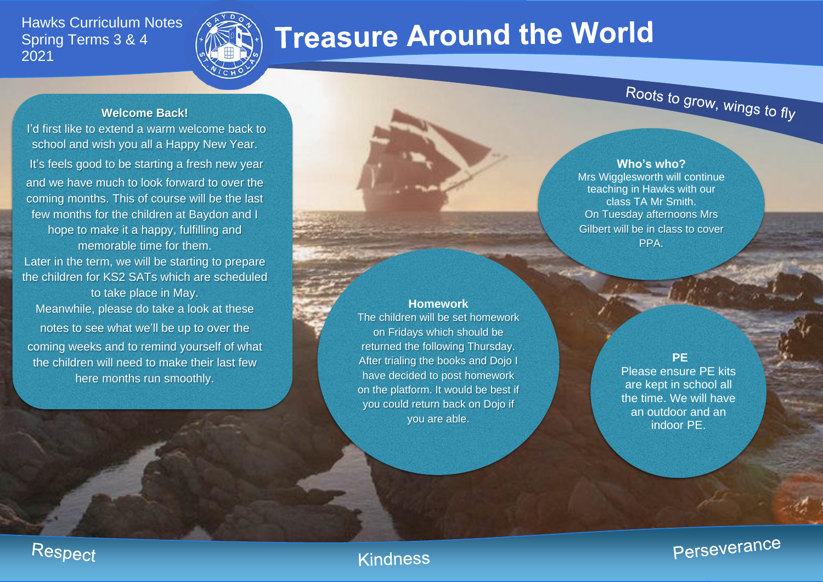## Hawks Curriculum Notes Spring Terms 3 & 4 2021



# **Treasure Around the World**

## **Welcome Back!**

I'd first like to extend a warm welcome back to school and wish you all a Happy New Year. It's feels good to be starting a fresh new year and we have much to look forward to over the coming months. This of course will be the last few months for the children at Baydon and I hope to make it a happy, fulfilling and memorable time for them.

Later in the term, we will be starting to prepare the children for KS2 SATs which are scheduled to take place in May. Meanwhile, please do take a look at these

notes to see what we'll be up to over the coming weeks and to remind yourself of what the children will need to make their last few here months run smoothly.

**Who's who?**

Roots to grow, wings to fly

Mrs Wigglesworth will continue teaching in Hawks with our class TA Mr Smith. On Tuesday afternoons Mrs Gilbert will be in class to cover PPA.

**Homework** The children will be set homework on Fridays which should be returned the following Thursday. After trialing the books and Dojo I have decided to post homework on the platform. It would be best if you could return back on Dojo if you are able.

**PE**

Please ensure PE kits are kept in school all the time. We will have an outdoor and an indoor PE.

Perseverance

## Respect

## **Kindness**